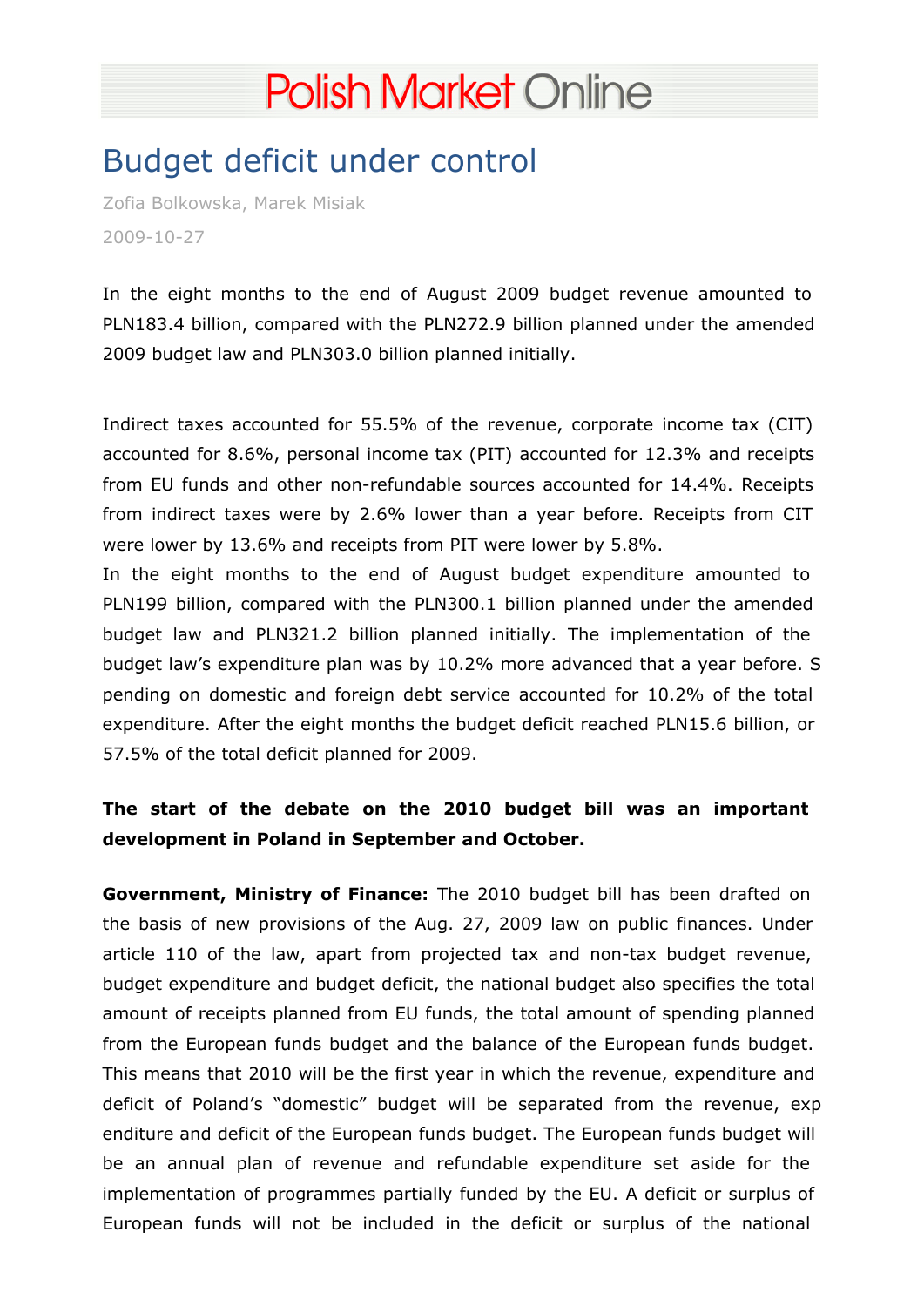## [Budget deficit under control](http://polishmarket.com.pl/)

Zofia Bolkowska, Marek Misiak 2009-10-27

In the eight months to the end of August 2009 budget revenue amounted to PLN183.4 billion, compared with the PLN272.9 billion planned under the amended 2009 budget law and PLN303.0 billion planned initially.

Indirect taxes accounted for 55.5% of the revenue, corporate income tax (CIT) accounted for 8.6%, personal income tax (PIT) accounted for 12.3% and receipts from EU funds and other non-refundable sources accounted for 14.4%. Receipts from indirect taxes were by 2.6% lower than a year before. Receipts from CIT were lower by 13.6% and receipts from PIT were lower by 5.8%.

In the eight months to the end of August budget expenditure amounted to PLN199 billion, compared with the PLN300.1 billion planned under the amended budget law and PLN321.2 billion planned initially. The implementation of the budget law's expenditure plan was by 10.2% more advanced that a year before. S pending on domestic and foreign debt service accounted for 10.2% of the total expenditure. After the eight months the budget deficit reached PLN15.6 billion, or 57.5% of the total deficit planned for 2009.

The start of the debate on the 2010 budget bill was an important development in Poland in September and October.

Government, Ministry of Finance: The 2010 budget bill has been drafted on the basis of new provisions of the Aug. 27, 2009 law on public finances. Under article 110 of the law, apart from projected tax and non-tax budget revenue, budget expenditure and budget deficit, the national budget also specifies the total amount of receipts planned from EU funds, the total amount of spending planned from the European funds budget and the balance of the European funds budget. This means that 2010 will be the first year in which the revenue, expenditure and deficit of Poland's "domestic" budget will be separated from the revenue, exp enditure and deficit of the European funds budget. The European funds budget will be an annual plan of revenue and refundable expenditure set aside for the implementation of programmes partially funded by the EU. A deficit or surplus of European funds will not be included in the deficit or surplus of the national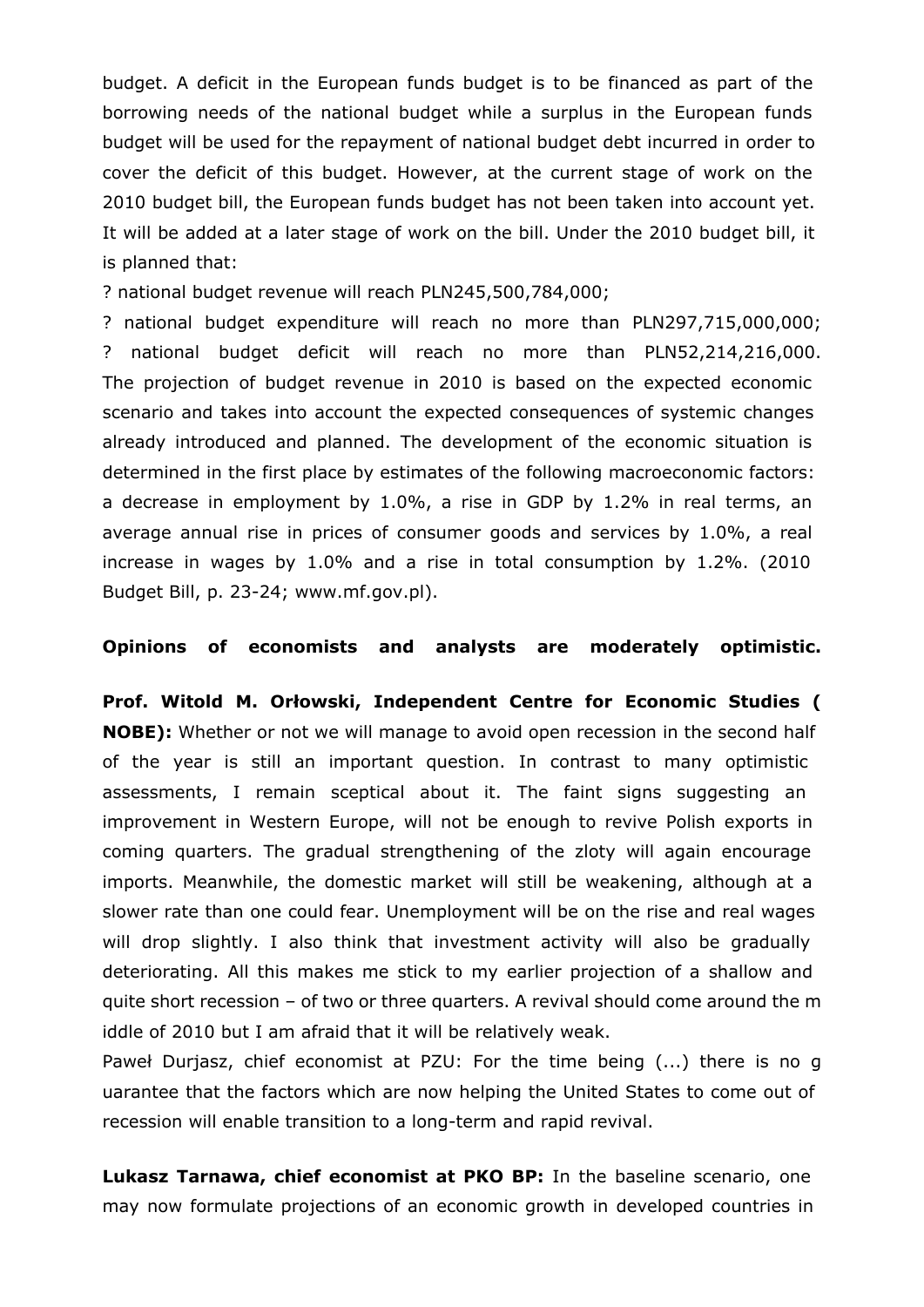budget. A deficit in the European funds budget is to be financed as part of the borrowing needs of the national budget while a surplus in the European funds budget will be used for the repayment of national budget debt incurred in order to cover the deficit of this budget. However, at the current stage of work on the 2010 budget bill, the European funds budget has not been taken into account yet. It will be added at a later stage of work on the bill. Under the 2010 budget bill, it is planned that:

? national budget revenue will reach PLN245,500,784,000;

? national budget expenditure will reach no more than PLN297,715,000,000; ? national budget deficit will reach no more than PLN52,214,216,000. The projection of budget revenue in 2010 is based on the expected economic scenario and takes into account the expected consequences of systemic changes already introduced and planned. The development of the economic situation is determined in the first place by estimates of the following macroeconomic factors: a decrease in employment by 1.0%, a rise in GDP by 1.2% in real terms, an average annual rise in prices of consumer goods and services by 1.0%, a real increase in wages by 1.0% and a rise in total consumption by 1.2%. (2010 Budget Bill, p. 23-24; www.mf.gov.pl).

## **Opinions of economists and analysts are moderately optimistic.**

**Prof. Witold M. Orłowski, Independent Centre for Economic Studies ( NOBE):** Whether or not we will manage to avoid open recession in the second half of the year is still an important question. In contrast to many optimistic assessments, I remain sceptical about it. The faint signs suggesting an improvement in Western Europe, will not be enough to revive Polish exports in coming quarters. The gradual strengthening of the zloty will again encourage imports. Meanwhile, the domestic market will still be weakening, although at a slower rate than one could fear. Unemployment will be on the rise and real wages will drop slightly. I also think that investment activity will also be gradually deteriorating. All this makes me stick to my earlier projection of a shallow and quite short recession – of two or three quarters. A revival should come around the m iddle of 2010 but I am afraid that it will be relatively weak.

Paweł Durjasz, chief economist at PZU: For the time being (...) there is no g uarantee that the factors which are now helping the United States to come out of recession will enable transition to a long-term and rapid revival.

**Lukasz Tarnawa, chief economist at PKO BP:** In the baseline scenario, one may now formulate projections of an economic growth in developed countries in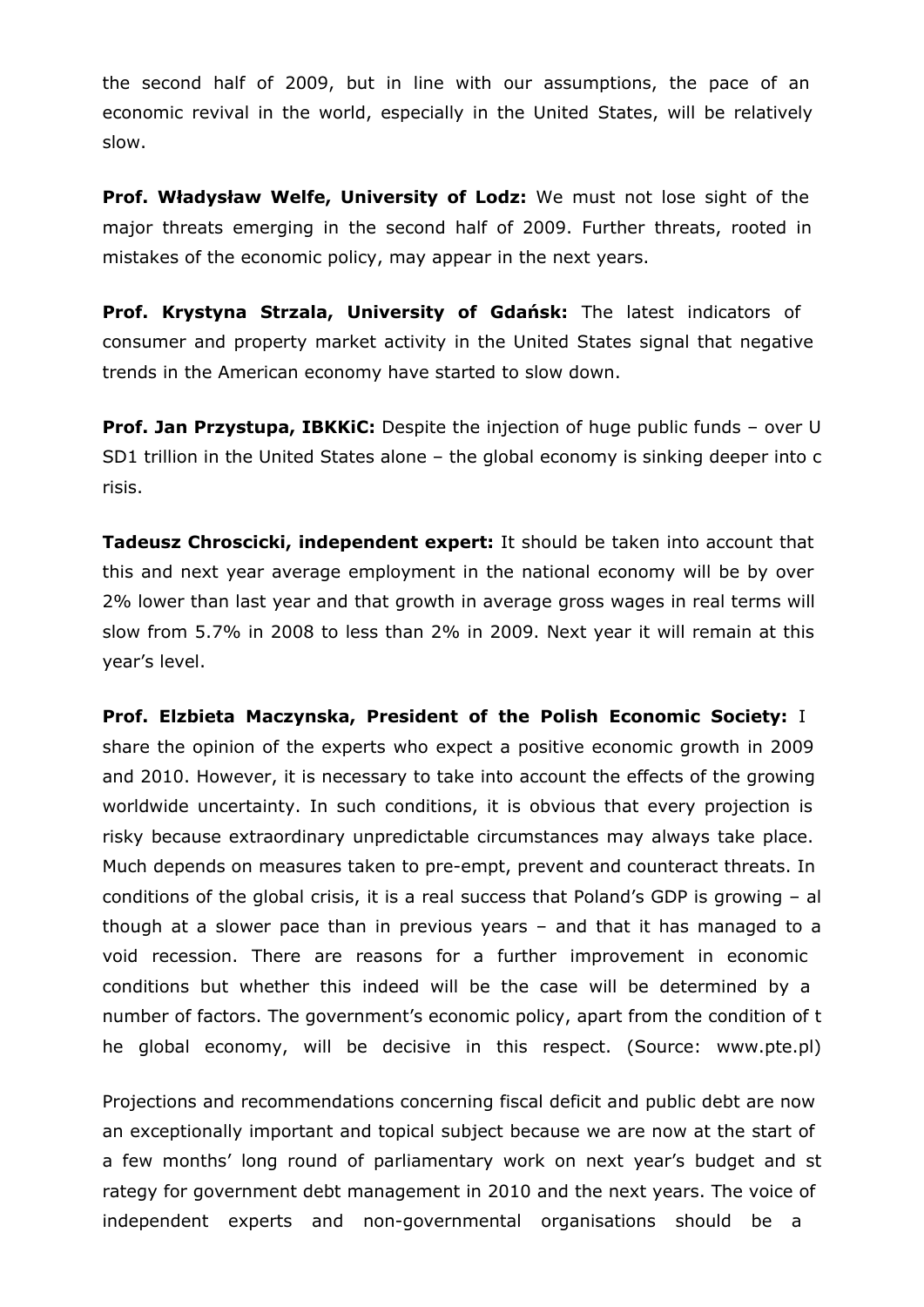the second half of 2009, but in line with our assumptions, the pace of an economic revival in the world, especially in the United States, will be relatively slow.

**Prof. Władysław Welfe, University of Lodz:** We must not lose sight of the major threats emerging in the second half of 2009. Further threats, rooted in mistakes of the economic policy, may appear in the next years.

**Prof. Krystyna Strzala, University of Gdańsk:** The latest indicators of consumer and property market activity in the United States signal that negative trends in the American economy have started to slow down.

**Prof. Jan Przystupa, IBKKiC:** Despite the injection of huge public funds - over U SD1 trillion in the United States alone – the global economy is sinking deeper into c risis.

**Tadeusz Chroscicki, independent expert:** It should be taken into account that this and next year average employment in the national economy will be by over 2% lower than last year and that growth in average gross wages in real terms will slow from 5.7% in 2008 to less than 2% in 2009. Next year it will remain at this year's level.

**Prof. Elzbieta Maczynska, President of the Polish Economic Society:** I share the opinion of the experts who expect a positive economic growth in 2009 and 2010. However, it is necessary to take into account the effects of the growing worldwide uncertainty. In such conditions, it is obvious that every projection is risky because extraordinary unpredictable circumstances may always take place. Much depends on measures taken to pre-empt, prevent and counteract threats. In conditions of the global crisis, it is a real success that Poland's GDP is growing – al though at a slower pace than in previous years – and that it has managed to a void recession. There are reasons for a further improvement in economic conditions but whether this indeed will be the case will be determined by a number of factors. The government's economic policy, apart from the condition of t he global economy, will be decisive in this respect. (Source: www.pte.pl)

Projections and recommendations concerning fiscal deficit and public debt are now an exceptionally important and topical subject because we are now at the start of a few months' long round of parliamentary work on next year's budget and st rategy for government debt management in 2010 and the next years. The voice of independent experts and non-governmental organisations should be a